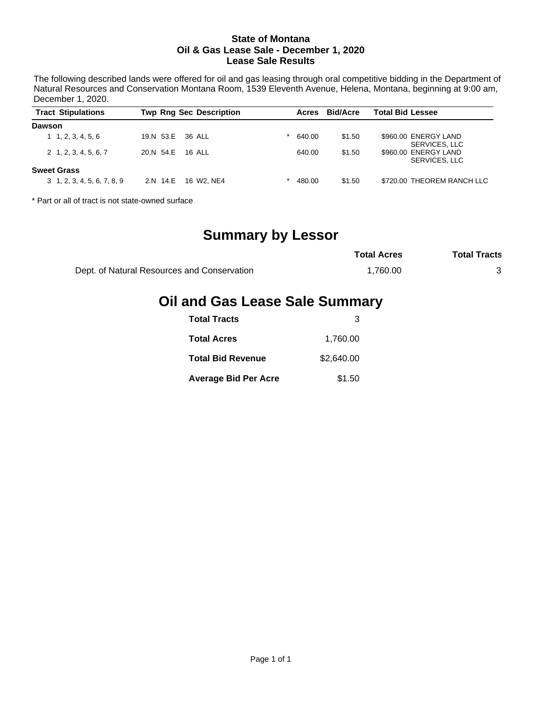#### **State of Montana Oil & Gas Lease Sale - December 1, 2020 Lease Sale Results**

The following described lands were offered for oil and gas leasing through oral competitive bidding in the Department of Natural Resources and Conservation Montana Room, 1539 Eleventh Avenue, Helena, Montana, beginning at 9:00 am, December 1, 2020.

| <b>Tract Stipulations</b>          |                  | <b>Twp Rng Sec Description</b> | Acres  | <b>Bid/Acre</b> | <b>Total Bid Lessee</b>               |
|------------------------------------|------------------|--------------------------------|--------|-----------------|---------------------------------------|
| <b>Dawson</b>                      |                  |                                |        |                 |                                       |
| 1, 2, 3, 4, 5, 6                   | 19.N 53.E 36 ALL |                                | 640.00 | \$1.50          | \$960.00 ENERGY LAND<br>SERVICES, LLC |
| $2\quad 1, 2, 3, 4, 5, 6, 7$       | 20.N 54.E        | 16 ALL                         | 640.00 | \$1.50          | \$960.00 ENERGY LAND<br>SERVICES, LLC |
| <b>Sweet Grass</b>                 |                  |                                |        |                 |                                       |
| $3\quad 1, 2, 3, 4, 5, 6, 7, 8, 9$ | 2.N 14.E         | 16 W2. NE4                     | 480.00 | \$1.50          | \$720.00 THEOREM RANCH LLC            |

\* Part or all of tract is not state-owned surface

## **Summary by Lessor**

|                                             | <b>Total Acres</b> | <b>Total Tracts</b> |  |
|---------------------------------------------|--------------------|---------------------|--|
| Dept. of Natural Resources and Conservation | 1.760.00           |                     |  |

# **Oil and Gas Lease Sale Summary**

| <b>Total Tracts</b>         |            |
|-----------------------------|------------|
| <b>Total Acres</b>          | 1,760.00   |
| <b>Total Bid Revenue</b>    | \$2,640,00 |
| <b>Average Bid Per Acre</b> | \$1.50     |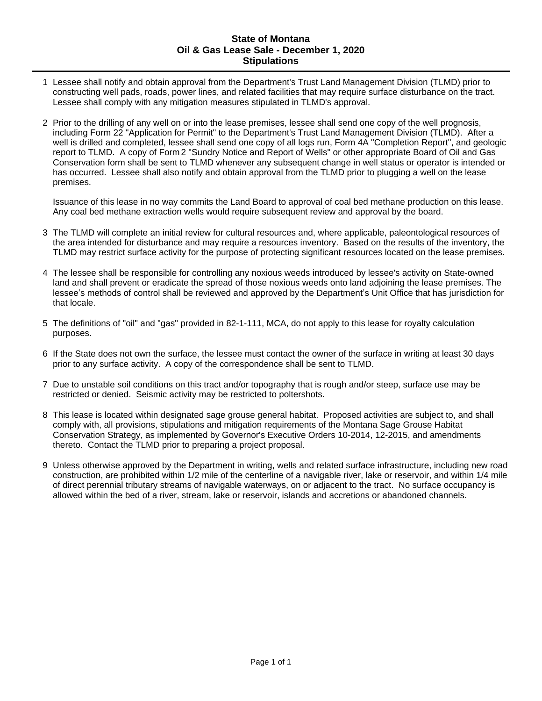#### **State of Montana Oil & Gas Lease Sale - December 1, 2020 Stipulations**

- 1 Lessee shall notify and obtain approval from the Department's Trust Land Management Division (TLMD) prior to constructing well pads, roads, power lines, and related facilities that may require surface disturbance on the tract. Lessee shall comply with any mitigation measures stipulated in TLMD's approval.
- 2 Prior to the drilling of any well on or into the lease premises, lessee shall send one copy of the well prognosis, including Form 22 "Application for Permit" to the Department's Trust Land Management Division (TLMD). After a well is drilled and completed, lessee shall send one copy of all logs run, Form 4A "Completion Report", and geologic report to TLMD. A copy of Form 2 "Sundry Notice and Report of Wells" or other appropriate Board of Oil and Gas Conservation form shall be sent to TLMD whenever any subsequent change in well status or operator is intended or has occurred. Lessee shall also notify and obtain approval from the TLMD prior to plugging a well on the lease premises.

Issuance of this lease in no way commits the Land Board to approval of coal bed methane production on this lease. Any coal bed methane extraction wells would require subsequent review and approval by the board.

- 3 The TLMD will complete an initial review for cultural resources and, where applicable, paleontological resources of the area intended for disturbance and may require a resources inventory. Based on the results of the inventory, the TLMD may restrict surface activity for the purpose of protecting significant resources located on the lease premises.
- 4 The lessee shall be responsible for controlling any noxious weeds introduced by lessee's activity on State-owned land and shall prevent or eradicate the spread of those noxious weeds onto land adjoining the lease premises. The lessee's methods of control shall be reviewed and approved by the Department's Unit Office that has jurisdiction for that locale.
- 5 The definitions of "oil" and "gas" provided in 82-1-111, MCA, do not apply to this lease for royalty calculation purposes.
- 6 If the State does not own the surface, the lessee must contact the owner of the surface in writing at least 30 days prior to any surface activity. A copy of the correspondence shall be sent to TLMD.
- 7 Due to unstable soil conditions on this tract and/or topography that is rough and/or steep, surface use may be restricted or denied. Seismic activity may be restricted to poltershots.
- 8 This lease is located within designated sage grouse general habitat. Proposed activities are subject to, and shall comply with, all provisions, stipulations and mitigation requirements of the Montana Sage Grouse Habitat Conservation Strategy, as implemented by Governor's Executive Orders 10-2014, 12-2015, and amendments thereto. Contact the TLMD prior to preparing a project proposal.
- 9 Unless otherwise approved by the Department in writing, wells and related surface infrastructure, including new road construction, are prohibited within 1/2 mile of the centerline of a navigable river, lake or reservoir, and within 1/4 mile of direct perennial tributary streams of navigable waterways, on or adjacent to the tract. No surface occupancy is allowed within the bed of a river, stream, lake or reservoir, islands and accretions or abandoned channels.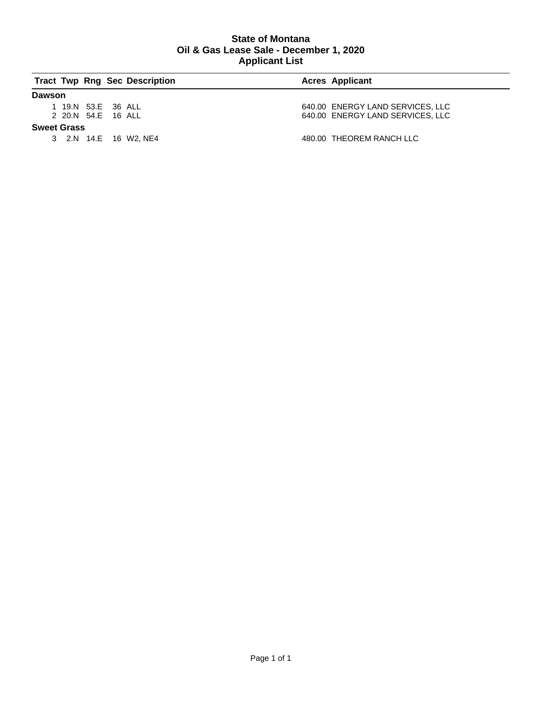### **State of Montana Oil & Gas Lease Sale - December 1, 2020 Applicant List**

|                    |                    | <b>Tract Twp Rng Sec Description</b> | <b>Acres Applicant</b>           |
|--------------------|--------------------|--------------------------------------|----------------------------------|
| Dawson             |                    |                                      |                                  |
|                    | 1 19.N 53.E 36 ALL |                                      | 640.00 ENERGY LAND SERVICES, LLC |
|                    | 2 20.N 54.E 16 ALL |                                      | 640.00 ENERGY LAND SERVICES, LLC |
| <b>Sweet Grass</b> |                    |                                      |                                  |
|                    |                    | 3 2.N 14.E 16 W2. NE4                | 480.00 THEOREM RANCH LLC         |
|                    |                    |                                      |                                  |